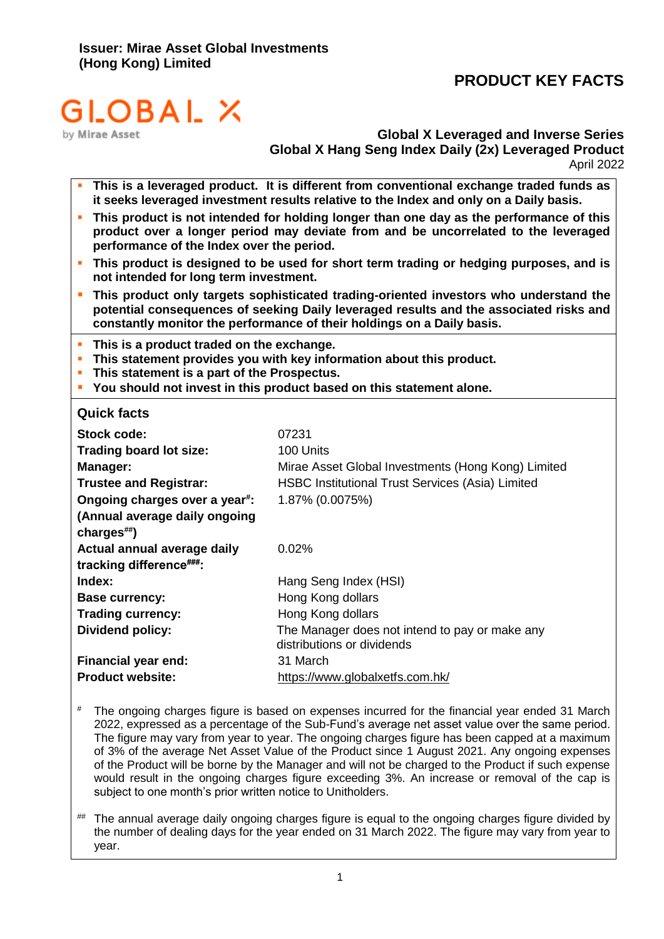# **PRODUCT KEY FACTS**



**Global X Leveraged and Inverse Series Global X Hang Seng Index Daily (2x) Leveraged Product** April 2022

- This is a leveraged product. It is different from conventional exchange traded funds as **it seeks leveraged investment results relative to the Index and only on a Daily basis.**
- **· This product is not intended for holding longer than one day as the performance of this product over a longer period may deviate from and be uncorrelated to the leveraged performance of the Index over the period.**
- **This product is designed to be used for short term trading or hedging purposes, and is not intended for long term investment.**
- **EXTER 15 This product only targets sophisticated trading-oriented investors who understand the potential consequences of seeking Daily leveraged results and the associated risks and constantly monitor the performance of their holdings on a Daily basis.**
- **This is a product traded on the exchange.**
- **This statement provides you with key information about this product.**
- **This statement is a part of the Prospectus.**
- **You should not invest in this product based on this statement alone.**

**Quick facts**

| Stock code:                                | 07231                                                                        |
|--------------------------------------------|------------------------------------------------------------------------------|
| Trading board lot size:                    | 100 Units                                                                    |
| Manager:                                   | Mirae Asset Global Investments (Hong Kong) Limited                           |
| <b>Trustee and Registrar:</b>              | <b>HSBC Institutional Trust Services (Asia) Limited</b>                      |
| Ongoing charges over a year <sup>#</sup> : | 1.87% (0.0075%)                                                              |
| (Annual average daily ongoing              |                                                                              |
| charges##)                                 |                                                                              |
| Actual annual average daily                | $0.02\%$                                                                     |
| tracking difference###:                    |                                                                              |
| Index:                                     | Hang Seng Index (HSI)                                                        |
| <b>Base currency:</b>                      | Hong Kong dollars                                                            |
| <b>Trading currency:</b>                   | Hong Kong dollars                                                            |
| <b>Dividend policy:</b>                    | The Manager does not intend to pay or make any<br>distributions or dividends |
| <b>Financial year end:</b>                 | 31 March                                                                     |
| <b>Product website:</b>                    | https://www.globalxetfs.com.hk/                                              |

- # The ongoing charges figure is based on expenses incurred for the financial year ended 31 March 2022, expressed as a percentage of the Sub-Fund's average net asset value over the same period. The figure may vary from year to year. The ongoing charges figure has been capped at a maximum of 3% of the average Net Asset Value of the Product since 1 August 2021. Any ongoing expenses of the Product will be borne by the Manager and will not be charged to the Product if such expense would result in the ongoing charges figure exceeding 3%. An increase or removal of the cap is subject to one month's prior written notice to Unitholders.
- ## The annual average daily ongoing charges figure is equal to the ongoing charges figure divided by the number of dealing days for the year ended on 31 March 2022. The figure may vary from year to year.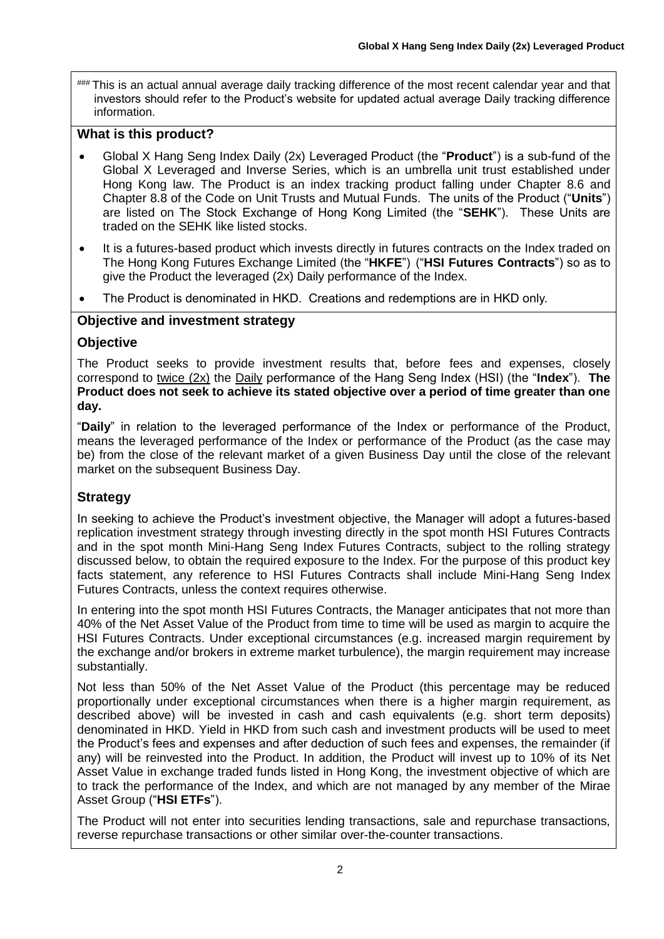### This is an actual annual average daily tracking difference of the most recent calendar year and that investors should refer to the Product's website for updated actual average Daily tracking difference information.

# **What is this product?**

- Global X Hang Seng Index Daily (2x) Leveraged Product (the "**Product**") is a sub-fund of the Global X Leveraged and Inverse Series, which is an umbrella unit trust established under Hong Kong law. The Product is an index tracking product falling under Chapter 8.6 and Chapter 8.8 of the Code on Unit Trusts and Mutual Funds. The units of the Product ("**Units**") are listed on The Stock Exchange of Hong Kong Limited (the "**SEHK**"). These Units are traded on the SEHK like listed stocks.
- It is a futures-based product which invests directly in futures contracts on the Index traded on The Hong Kong Futures Exchange Limited (the "**HKFE**") ("**HSI Futures Contracts**") so as to give the Product the leveraged (2x) Daily performance of the Index.
- The Product is denominated in HKD. Creations and redemptions are in HKD only.

# **Objective and investment strategy**

# **Objective**

The Product seeks to provide investment results that, before fees and expenses, closely correspond to twice (2x) the Daily performance of the Hang Seng Index (HSI) (the "**Index**"). **The Product does not seek to achieve its stated objective over a period of time greater than one day.**

"**Daily**" in relation to the leveraged performance of the Index or performance of the Product, means the leveraged performance of the Index or performance of the Product (as the case may be) from the close of the relevant market of a given Business Day until the close of the relevant market on the subsequent Business Day.

# **Strategy**

In seeking to achieve the Product's investment objective, the Manager will adopt a futures-based replication investment strategy through investing directly in the spot month HSI Futures Contracts and in the spot month Mini-Hang Seng Index Futures Contracts, subject to the rolling strategy discussed below, to obtain the required exposure to the Index. For the purpose of this product key facts statement, any reference to HSI Futures Contracts shall include Mini-Hang Seng Index Futures Contracts, unless the context requires otherwise.

In entering into the spot month HSI Futures Contracts, the Manager anticipates that not more than 40% of the Net Asset Value of the Product from time to time will be used as margin to acquire the HSI Futures Contracts. Under exceptional circumstances (e.g. increased margin requirement by the exchange and/or brokers in extreme market turbulence), the margin requirement may increase substantially.

Not less than 50% of the Net Asset Value of the Product (this percentage may be reduced proportionally under exceptional circumstances when there is a higher margin requirement, as described above) will be invested in cash and cash equivalents (e.g. short term deposits) denominated in HKD. Yield in HKD from such cash and investment products will be used to meet the Product's fees and expenses and after deduction of such fees and expenses, the remainder (if any) will be reinvested into the Product. In addition, the Product will invest up to 10% of its Net Asset Value in exchange traded funds listed in Hong Kong, the investment objective of which are to track the performance of the Index, and which are not managed by any member of the Mirae Asset Group ("**HSI ETFs**").

The Product will not enter into securities lending transactions, sale and repurchase transactions, reverse repurchase transactions or other similar over-the-counter transactions.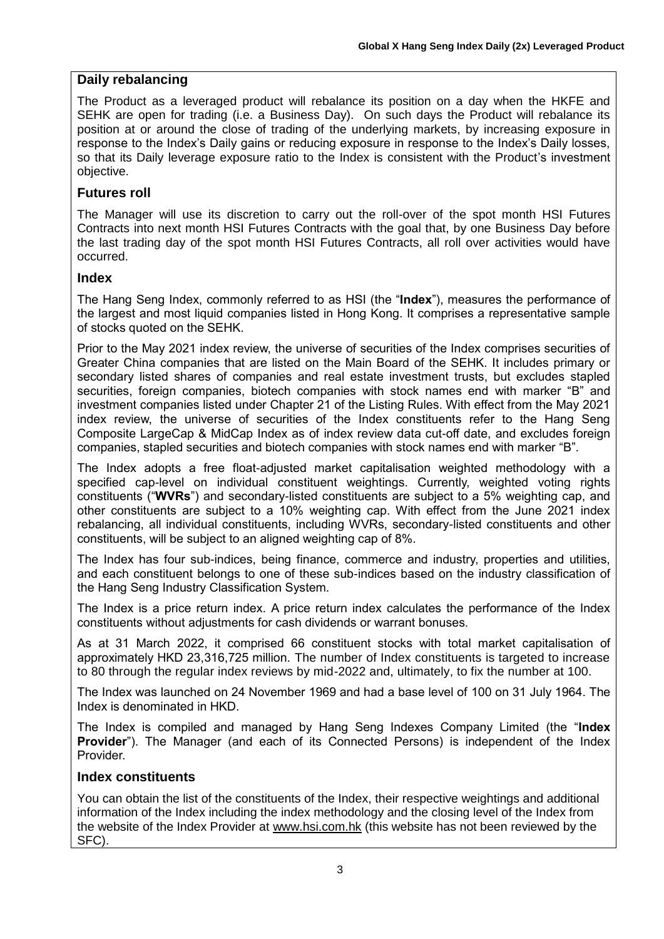# **Daily rebalancing**

The Product as a leveraged product will rebalance its position on a day when the HKFE and SEHK are open for trading (i.e. a Business Day). On such days the Product will rebalance its position at or around the close of trading of the underlying markets, by increasing exposure in response to the Index's Daily gains or reducing exposure in response to the Index's Daily losses, so that its Daily leverage exposure ratio to the Index is consistent with the Product's investment objective.

# **Futures roll**

The Manager will use its discretion to carry out the roll-over of the spot month HSI Futures Contracts into next month HSI Futures Contracts with the goal that, by one Business Day before the last trading day of the spot month HSI Futures Contracts, all roll over activities would have occurred.

# **Index**

The Hang Seng Index, commonly referred to as HSI (the "**Index**"), measures the performance of the largest and most liquid companies listed in Hong Kong. It comprises a representative sample of stocks quoted on the SEHK.

Prior to the May 2021 index review, the universe of securities of the Index comprises securities of Greater China companies that are listed on the Main Board of the SEHK. It includes primary or secondary listed shares of companies and real estate investment trusts, but excludes stapled securities, foreign companies, biotech companies with stock names end with marker "B" and investment companies listed under Chapter 21 of the Listing Rules. With effect from the May 2021 index review, the universe of securities of the Index constituents refer to the Hang Seng Composite LargeCap & MidCap Index as of index review data cut-off date, and excludes foreign companies, stapled securities and biotech companies with stock names end with marker "B".

The Index adopts a free float-adjusted market capitalisation weighted methodology with a specified cap-level on individual constituent weightings. Currently, weighted voting rights constituents ("**WVRs**") and secondary-listed constituents are subject to a 5% weighting cap, and other constituents are subject to a 10% weighting cap. With effect from the June 2021 index rebalancing, all individual constituents, including WVRs, secondary-listed constituents and other constituents, will be subject to an aligned weighting cap of 8%.

The Index has four sub-indices, being finance, commerce and industry, properties and utilities, and each constituent belongs to one of these sub-indices based on the industry classification of the Hang Seng Industry Classification System.

The Index is a price return index. A price return index calculates the performance of the Index constituents without adjustments for cash dividends or warrant bonuses.

As at 31 March 2022, it comprised 66 constituent stocks with total market capitalisation of approximately HKD 23,316,725 million. The number of Index constituents is targeted to increase to 80 through the regular index reviews by mid-2022 and, ultimately, to fix the number at 100.

The Index was launched on 24 November 1969 and had a base level of 100 on 31 July 1964. The Index is denominated in HKD.

The Index is compiled and managed by Hang Seng Indexes Company Limited (the "**Index Provider**"). The Manager (and each of its Connected Persons) is independent of the Index Provider.

# **Index constituents**

You can obtain the list of the constituents of the Index, their respective weightings and additional information of the Index including the index methodology and the closing level of the Index from the website of the Index Provider at [www.hsi.com.hk](http://www.hsi.com.hk/) (this website has not been reviewed by the SFC).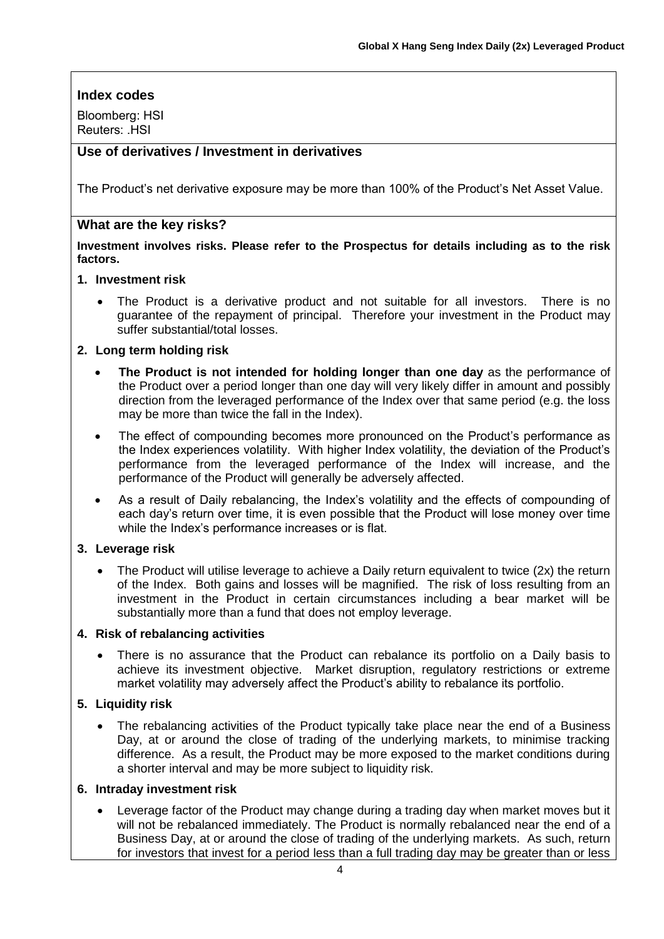# **Index codes**

Bloomberg: HSI Reuters: HSI

# **Use of derivatives / Investment in derivatives**

The Product's net derivative exposure may be more than 100% of the Product's Net Asset Value.

## **What are the key risks?**

**Investment involves risks. Please refer to the Prospectus for details including as to the risk factors.**

#### **1. Investment risk**

The Product is a derivative product and not suitable for all investors. There is no guarantee of the repayment of principal. Therefore your investment in the Product may suffer substantial/total losses.

#### **2. Long term holding risk**

- **The Product is not intended for holding longer than one day** as the performance of the Product over a period longer than one day will very likely differ in amount and possibly direction from the leveraged performance of the Index over that same period (e.g. the loss may be more than twice the fall in the Index).
- The effect of compounding becomes more pronounced on the Product's performance as the Index experiences volatility. With higher Index volatility, the deviation of the Product's performance from the leveraged performance of the Index will increase, and the performance of the Product will generally be adversely affected.
- As a result of Daily rebalancing, the Index's volatility and the effects of compounding of each day's return over time, it is even possible that the Product will lose money over time while the Index's performance increases or is flat.

#### **3. Leverage risk**

• The Product will utilise leverage to achieve a Daily return equivalent to twice (2x) the return of the Index. Both gains and losses will be magnified. The risk of loss resulting from an investment in the Product in certain circumstances including a bear market will be substantially more than a fund that does not employ leverage.

#### **4. Risk of rebalancing activities**

There is no assurance that the Product can rebalance its portfolio on a Daily basis to achieve its investment objective. Market disruption, regulatory restrictions or extreme market volatility may adversely affect the Product's ability to rebalance its portfolio.

#### **5. Liquidity risk**

The rebalancing activities of the Product typically take place near the end of a Business Day, at or around the close of trading of the underlying markets, to minimise tracking difference. As a result, the Product may be more exposed to the market conditions during a shorter interval and may be more subject to liquidity risk.

#### **6. Intraday investment risk**

• Leverage factor of the Product may change during a trading day when market moves but it will not be rebalanced immediately. The Product is normally rebalanced near the end of a Business Day, at or around the close of trading of the underlying markets. As such, return for investors that invest for a period less than a full trading day may be greater than or less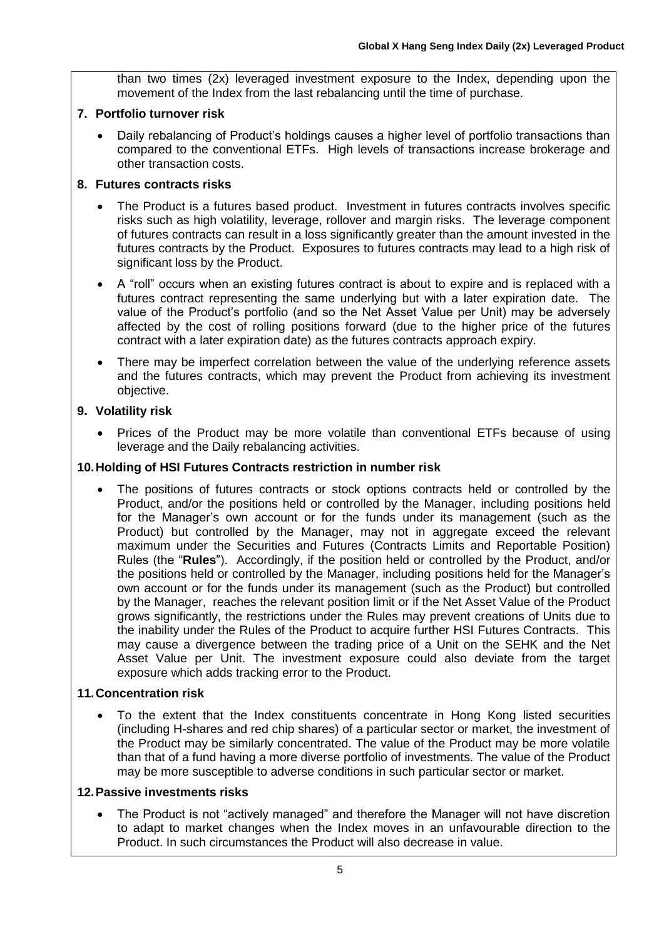than two times (2x) leveraged investment exposure to the Index, depending upon the movement of the Index from the last rebalancing until the time of purchase.

## **7. Portfolio turnover risk**

• Daily rebalancing of Product's holdings causes a higher level of portfolio transactions than compared to the conventional ETFs. High levels of transactions increase brokerage and other transaction costs.

## **8. Futures contracts risks**

- The Product is a futures based product. Investment in futures contracts involves specific risks such as high volatility, leverage, rollover and margin risks. The leverage component of futures contracts can result in a loss significantly greater than the amount invested in the futures contracts by the Product. Exposures to futures contracts may lead to a high risk of significant loss by the Product.
- A "roll" occurs when an existing futures contract is about to expire and is replaced with a futures contract representing the same underlying but with a later expiration date. The value of the Product's portfolio (and so the Net Asset Value per Unit) may be adversely affected by the cost of rolling positions forward (due to the higher price of the futures contract with a later expiration date) as the futures contracts approach expiry.
- There may be imperfect correlation between the value of the underlying reference assets and the futures contracts, which may prevent the Product from achieving its investment objective.

# **9. Volatility risk**

• Prices of the Product may be more volatile than conventional ETFs because of using leverage and the Daily rebalancing activities.

# **10.Holding of HSI Futures Contracts restriction in number risk**

The positions of futures contracts or stock options contracts held or controlled by the Product, and/or the positions held or controlled by the Manager, including positions held for the Manager's own account or for the funds under its management (such as the Product) but controlled by the Manager, may not in aggregate exceed the relevant maximum under the Securities and Futures (Contracts Limits and Reportable Position) Rules (the "**Rules**"). Accordingly, if the position held or controlled by the Product, and/or the positions held or controlled by the Manager, including positions held for the Manager's own account or for the funds under its management (such as the Product) but controlled by the Manager, reaches the relevant position limit or if the Net Asset Value of the Product grows significantly, the restrictions under the Rules may prevent creations of Units due to the inability under the Rules of the Product to acquire further HSI Futures Contracts. This may cause a divergence between the trading price of a Unit on the SEHK and the Net Asset Value per Unit. The investment exposure could also deviate from the target exposure which adds tracking error to the Product.

# **11.Concentration risk**

• To the extent that the Index constituents concentrate in Hong Kong listed securities (including H-shares and red chip shares) of a particular sector or market, the investment of the Product may be similarly concentrated. The value of the Product may be more volatile than that of a fund having a more diverse portfolio of investments. The value of the Product may be more susceptible to adverse conditions in such particular sector or market.

#### **12.Passive investments risks**

• The Product is not "actively managed" and therefore the Manager will not have discretion to adapt to market changes when the Index moves in an unfavourable direction to the Product. In such circumstances the Product will also decrease in value.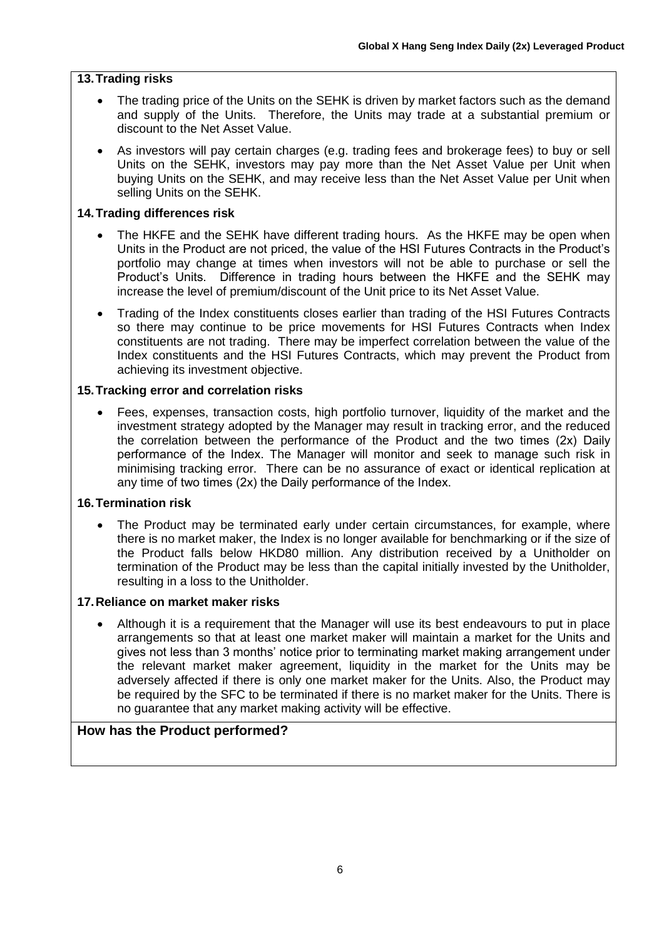# **13.Trading risks**

- The trading price of the Units on the SEHK is driven by market factors such as the demand and supply of the Units. Therefore, the Units may trade at a substantial premium or discount to the Net Asset Value.
- As investors will pay certain charges (e.g. trading fees and brokerage fees) to buy or sell Units on the SEHK, investors may pay more than the Net Asset Value per Unit when buying Units on the SEHK, and may receive less than the Net Asset Value per Unit when selling Units on the SEHK.

# **14.Trading differences risk**

- The HKFE and the SEHK have different trading hours. As the HKFE may be open when Units in the Product are not priced, the value of the HSI Futures Contracts in the Product's portfolio may change at times when investors will not be able to purchase or sell the Product's Units. Difference in trading hours between the HKFE and the SEHK may increase the level of premium/discount of the Unit price to its Net Asset Value.
- Trading of the Index constituents closes earlier than trading of the HSI Futures Contracts so there may continue to be price movements for HSI Futures Contracts when Index constituents are not trading. There may be imperfect correlation between the value of the Index constituents and the HSI Futures Contracts, which may prevent the Product from achieving its investment objective.

#### **15.Tracking error and correlation risks**

• Fees, expenses, transaction costs, high portfolio turnover, liquidity of the market and the investment strategy adopted by the Manager may result in tracking error, and the reduced the correlation between the performance of the Product and the two times (2x) Daily performance of the Index. The Manager will monitor and seek to manage such risk in minimising tracking error. There can be no assurance of exact or identical replication at any time of two times (2x) the Daily performance of the Index.

#### **16.Termination risk**

The Product may be terminated early under certain circumstances, for example, where there is no market maker, the Index is no longer available for benchmarking or if the size of the Product falls below HKD80 million. Any distribution received by a Unitholder on termination of the Product may be less than the capital initially invested by the Unitholder, resulting in a loss to the Unitholder.

#### **17.Reliance on market maker risks**

• Although it is a requirement that the Manager will use its best endeavours to put in place arrangements so that at least one market maker will maintain a market for the Units and gives not less than 3 months' notice prior to terminating market making arrangement under the relevant market maker agreement, liquidity in the market for the Units may be adversely affected if there is only one market maker for the Units. Also, the Product may be required by the SFC to be terminated if there is no market maker for the Units. There is no guarantee that any market making activity will be effective.

# **How has the Product performed?**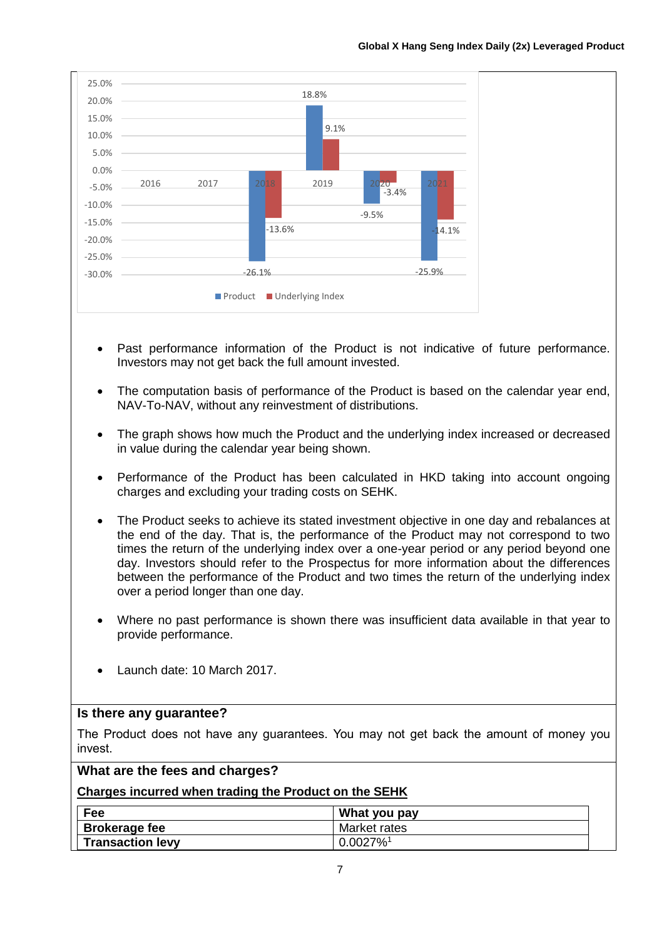

- Past performance information of the Product is not indicative of future performance. Investors may not get back the full amount invested.
- The computation basis of performance of the Product is based on the calendar year end, NAV-To-NAV, without any reinvestment of distributions.
- The graph shows how much the Product and the underlying index increased or decreased in value during the calendar year being shown.
- Performance of the Product has been calculated in HKD taking into account ongoing charges and excluding your trading costs on SEHK.
- The Product seeks to achieve its stated investment objective in one day and rebalances at the end of the day. That is, the performance of the Product may not correspond to two times the return of the underlying index over a one-year period or any period beyond one day. Investors should refer to the Prospectus for more information about the differences between the performance of the Product and two times the return of the underlying index over a period longer than one day.
- Where no past performance is shown there was insufficient data available in that year to provide performance.
- Launch date: 10 March 2017.

#### **Is there any guarantee?**

The Product does not have any guarantees. You may not get back the amount of money you invest.

#### **What are the fees and charges?**

#### **Charges incurred when trading the Product on the SEHK**

| Fee                     | What you pay            |
|-------------------------|-------------------------|
| <b>Brokerage fee</b>    | Market rates            |
| <b>Transaction levy</b> | $0.0027\%$ <sup>1</sup> |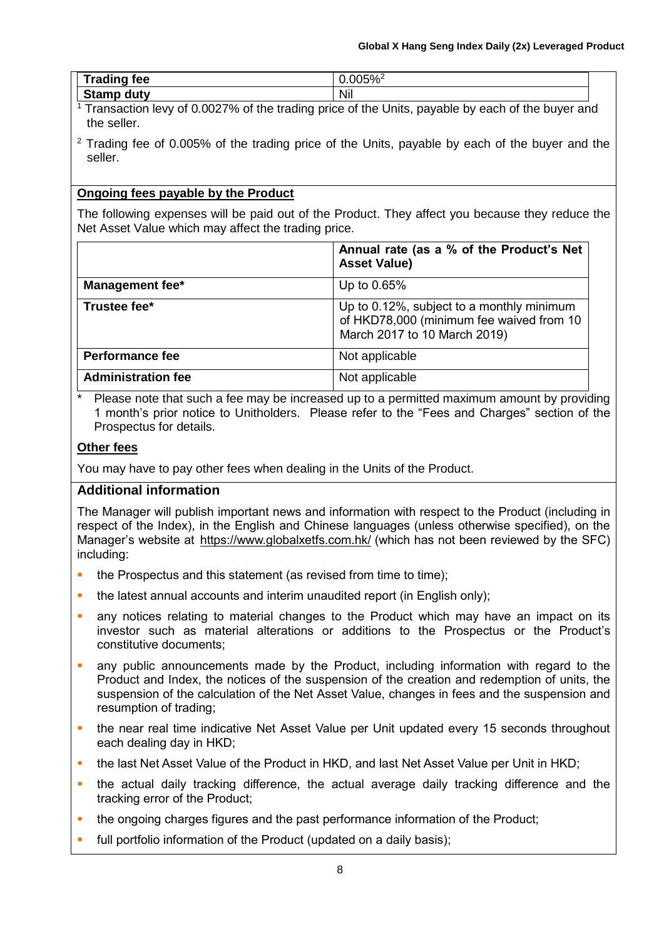| $T$ -adis-<br>tee<br><b>Haulity</b>   | $\mathbf{a} \mathbf{a} \mathbf{b} \mathbf{a} \mathbf{b}$<br>U.UUJ<br>7٥ |  |
|---------------------------------------|-------------------------------------------------------------------------|--|
| $\mathbf{A}$<br>utv<br>σιαπιν<br>uu u | .<br>Nh.                                                                |  |

- $1$ <sup>1</sup> Transaction levy of 0.0027% of the trading price of the Units, payable by each of the buyer and the seller.
- $2$  Trading fee of 0.005% of the trading price of the Units, payable by each of the buyer and the seller.

# **Ongoing fees payable by the Product**

The following expenses will be paid out of the Product. They affect you because they reduce the Net Asset Value which may affect the trading price.

|                           | Annual rate (as a % of the Product's Net<br><b>Asset Value)</b>                                                       |
|---------------------------|-----------------------------------------------------------------------------------------------------------------------|
| <b>Management fee*</b>    | Up to 0.65%                                                                                                           |
| Trustee fee*              | Up to 0.12%, subject to a monthly minimum<br>of HKD78,000 (minimum fee waived from 10<br>March 2017 to 10 March 2019) |
| <b>Performance fee</b>    | Not applicable                                                                                                        |
| <b>Administration fee</b> | Not applicable                                                                                                        |

Please note that such a fee may be increased up to a permitted maximum amount by providing 1 month's prior notice to Unitholders. Please refer to the "Fees and Charges" section of the Prospectus for details.

# **Other fees**

You may have to pay other fees when dealing in the Units of the Product.

# **Additional information**

The Manager will publish important news and information with respect to the Product (including in respect of the Index), in the English and Chinese languages (unless otherwise specified), on the Manager's website at https://www.globalxetfs.com.hk/ (which has not been reviewed by the SFC) including:

- the Prospectus and this statement (as revised from time to time);
- **•** the latest annual accounts and interim unaudited report (in English only);
- any notices relating to material changes to the Product which may have an impact on its investor such as material alterations or additions to the Prospectus or the Product's constitutive documents;
- any public announcements made by the Product, including information with regard to the Product and Index, the notices of the suspension of the creation and redemption of units, the suspension of the calculation of the Net Asset Value, changes in fees and the suspension and resumption of trading;
- **.** the near real time indicative Net Asset Value per Unit updated every 15 seconds throughout each dealing day in HKD;
- the last Net Asset Value of the Product in HKD, and last Net Asset Value per Unit in HKD;
- the actual daily tracking difference, the actual average daily tracking difference and the tracking error of the Product;
- **•** the ongoing charges figures and the past performance information of the Product;
- full portfolio information of the Product (updated on a daily basis);